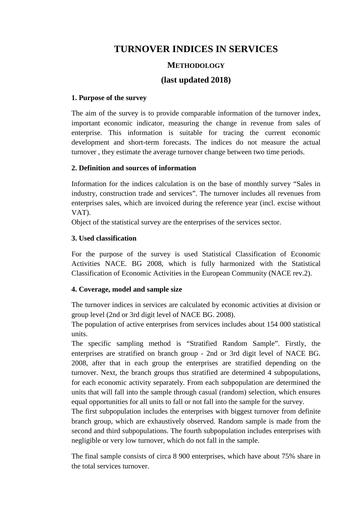# **TURNOVER INDICES IN SERVICES**

## **METHODOLOGY**

## **(last updated 2018)**

### **1. Purpose of the survey**

The aim of the survey is to provide comparable information of the turnover index, important economic indicator, measuring the change in revenue from sales of enterprise. This information is suitable for tracing the current economic development and short-term forecasts. The indices do not measure the actual turnover , they estimate the average turnover change between two time periods.

### **2. Definition and sources of information**

Information for the indices calculation is on the base of monthly survey "Sales in industry, construction trade and services". The turnover includes all revenues from enterprises sales, which are invoiced during the reference year (incl. excise without VAT).

Object of the statistical survey are the enterprises of the services sector.

### **3. Used classification**

For the purpose of the survey is used Statistical Classification of Economic Activities NACE. BG 2008, which is fully harmonized with the Statistical Classification of Economic Activities in the European Community (NACE rev.2).

### **4. Coverage, model and sample size**

The turnover indices in services are calculated by economic activities at division or group level (2nd or 3rd digit level of NACE BG. 2008).

The population of active enterprises from services includes about 154 000 statistical units.

The specific sampling method is "Stratified Random Sample". Firstly, the enterprises are stratified on branch group - 2nd or 3rd digit level of NACE BG. 2008, after that in each group the enterprises are stratified depending on the turnover. Next, the branch groups thus stratified are determined 4 subpopulations, for each economic activity separately. From each subpopulation are determined the units that will fall into the sample through casual (random) selection, which ensures equal opportunities for all units to fall or not fall into the sample for the survey.

The first subpopulation includes the enterprises with biggest turnover from definite branch group, which are exhaustively observed. Random sample is made from the second and third subpopulations. The fourth subpopulation includes enterprises with negligible or very low turnover, which do not fall in the sample.

The final sample consists of circa 8 900 enterprises, which have about 75% share in the total services turnover.